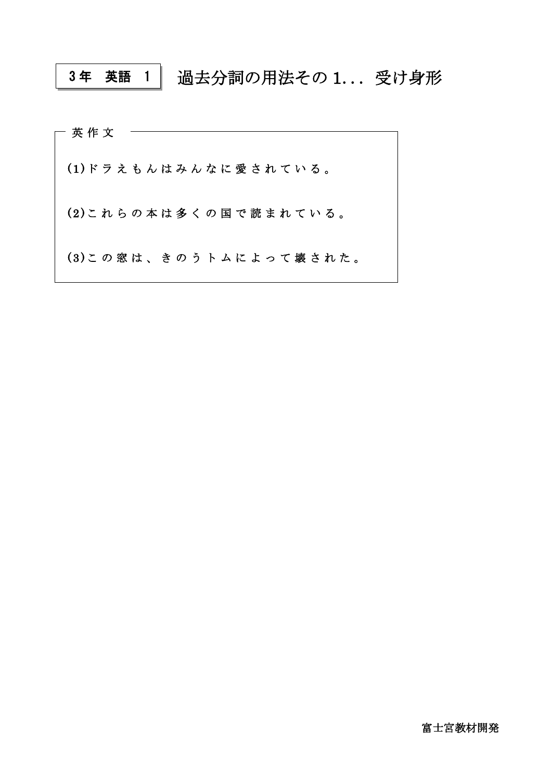## 過去分詞の用法その 1... 受け身形 3 年 英語 1

| 英作文                   |  |  |  |  |  |  |  |  |                        |  |
|-----------------------|--|--|--|--|--|--|--|--|------------------------|--|
| (1)ドラえもんはみんなに愛されている。  |  |  |  |  |  |  |  |  |                        |  |
| (2)これらの本は多くの国で読まれている。 |  |  |  |  |  |  |  |  |                        |  |
|                       |  |  |  |  |  |  |  |  | (3)この窓は、きのうトムによって壊された。 |  |